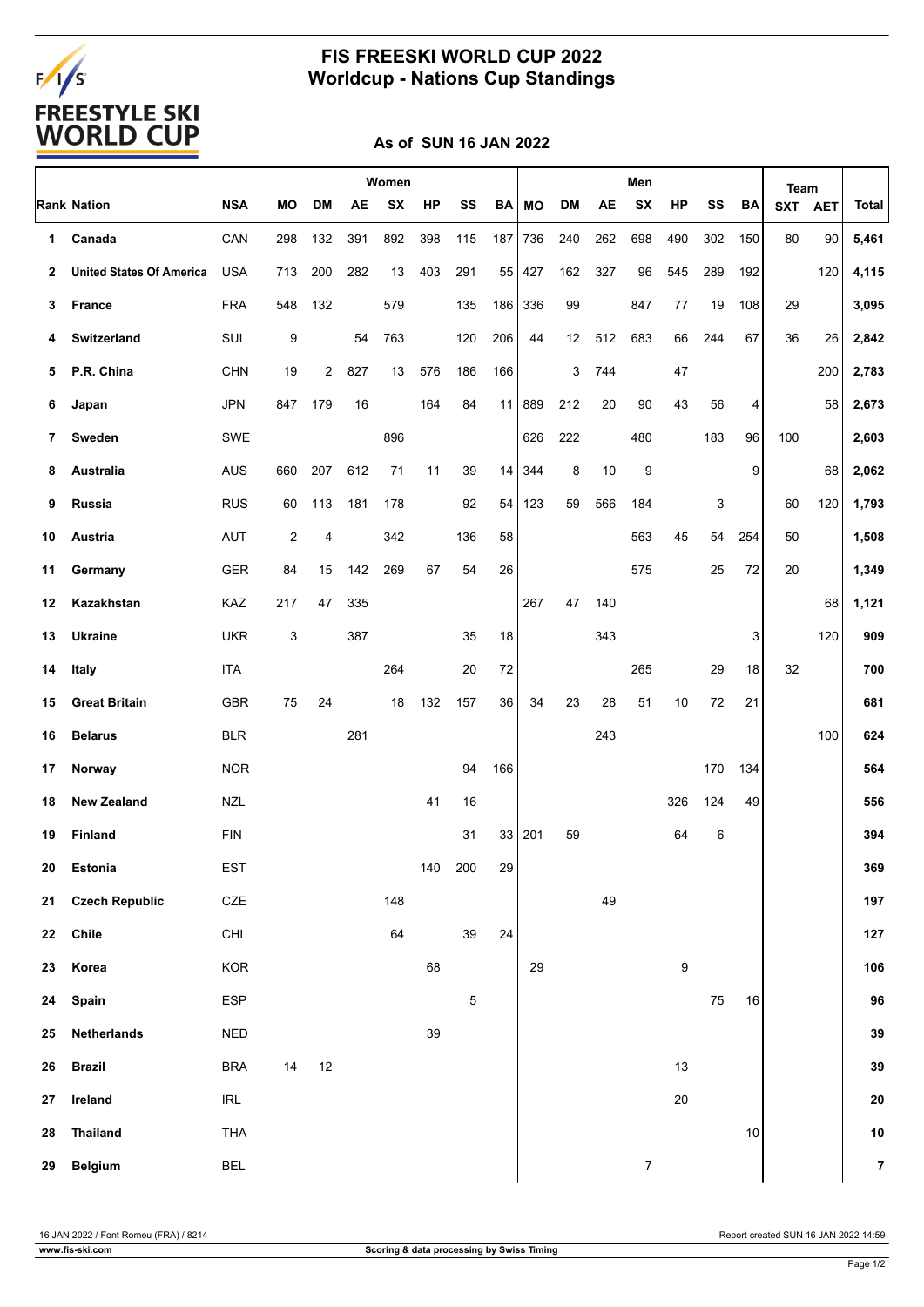# FALS<br>FREESTYLE SKI<br>WORLD CUP

### **FIS FREESKI WORLD CUP 2022 Worldcup - Nations Cup Standings**

#### **As of SUN 16 JAN 2022**

|    |                                 |                                    | Women |           |           |           |     |             |     | Men    |     |     |                  |        |     | Team   |            |            |                |
|----|---------------------------------|------------------------------------|-------|-----------|-----------|-----------|-----|-------------|-----|--------|-----|-----|------------------|--------|-----|--------|------------|------------|----------------|
|    | <b>Rank Nation</b>              | <b>NSA</b>                         | МO    | <b>DM</b> | <b>AE</b> | <b>SX</b> | HP  | SS          | BA  | МO     | DM  | AE  | <b>SX</b>        | HP     | SS  | BA     | <b>SXT</b> | <b>AET</b> | <b>Total</b>   |
| 1  | Canada                          | CAN                                | 298   | 132       | 391       | 892       | 398 | 115         | 187 | 736    | 240 | 262 | 698              | 490    | 302 | 150    | 80         | 90         | 5,461          |
| 2  | <b>United States Of America</b> | <b>USA</b>                         | 713   | 200       | 282       | 13        | 403 | 291         | 55  | 427    | 162 | 327 | 96               | 545    | 289 | 192    |            | 120        | 4,115          |
| 3  | France                          | <b>FRA</b>                         | 548   | 132       |           | 579       |     | 135         | 186 | 336    | 99  |     | 847              | 77     | 19  | 108    | 29         |            | 3,095          |
| 4  | Switzerland                     | SUI                                | 9     |           | 54        | 763       |     | 120         | 206 | 44     | 12  | 512 | 683              | 66     | 244 | 67     | 36         | 26         | 2,842          |
| 5  | P.R. China                      | <b>CHN</b>                         | 19    | 2         | 827       | 13        | 576 | 186         | 166 |        | 3   | 744 |                  | 47     |     |        |            | 200        | 2,783          |
| 6  | Japan                           | <b>JPN</b>                         | 847   | 179       | 16        |           | 164 | 84          | 11  | 889    | 212 | 20  | 90               | 43     | 56  | 4      |            | 58         | 2,673          |
| 7  | Sweden                          | SWE                                |       |           |           | 896       |     |             |     | 626    | 222 |     | 480              |        | 183 | 96     | 100        |            | 2,603          |
| 8  | Australia                       | <b>AUS</b>                         | 660   | 207       | 612       | 71        | 11  | 39          | 14  | 344    | 8   | 10  | 9                |        |     | 9      |            | 68         | 2,062          |
| 9  | Russia                          | <b>RUS</b>                         | 60    | 113       | 181       | 178       |     | 92          | 54  | 123    | 59  | 566 | 184              |        | 3   |        | 60         | 120        | 1,793          |
| 10 | Austria                         | <b>AUT</b>                         | 2     | 4         |           | 342       |     | 136         | 58  |        |     |     | 563              | 45     | 54  | 254    | 50         |            | 1,508          |
| 11 | Germany                         | <b>GER</b>                         | 84    | 15        | 142       | 269       | 67  | 54          | 26  |        |     |     | 575              |        | 25  | 72     | 20         |            | 1,349          |
| 12 | Kazakhstan                      | KAZ                                | 217   | 47        | 335       |           |     |             |     | 267    | 47  | 140 |                  |        |     |        |            | 68         | 1,121          |
| 13 | <b>Ukraine</b>                  | <b>UKR</b>                         | 3     |           | 387       |           |     | 35          | 18  |        |     | 343 |                  |        |     | 3      |            | 120        | 909            |
| 14 | Italy                           | <b>ITA</b>                         |       |           |           | 264       |     | 20          | 72  |        |     |     | 265              |        | 29  | 18     | 32         |            | 700            |
| 15 | <b>Great Britain</b>            | <b>GBR</b>                         | 75    | 24        |           | 18        | 132 | 157         | 36  | 34     | 23  | 28  | 51               | 10     | 72  | 21     |            |            | 681            |
| 16 | <b>Belarus</b>                  | <b>BLR</b>                         |       |           | 281       |           |     |             |     |        |     | 243 |                  |        |     |        |            | 100        | 624            |
| 17 | Norway                          | <b>NOR</b>                         |       |           |           |           |     | 94          | 166 |        |     |     |                  |        | 170 | 134    |            |            | 564            |
| 18 | <b>New Zealand</b>              | <b>NZL</b>                         |       |           |           |           | 41  | 16          |     |        |     |     |                  | 326    | 124 | 49     |            |            | 556            |
| 19 | Finland                         | <b>FIN</b>                         |       |           |           |           |     | 31          |     | 33 201 | 59  |     |                  | 64     | 6   |        |            |            | 394            |
| 20 | Estonia                         | EST                                |       |           |           |           |     | 140 200     | 29  |        |     |     |                  |        |     |        |            |            | 369            |
| 21 | <b>Czech Republic</b>           | $CZE$                              |       |           |           | 148       |     |             |     |        |     | 49  |                  |        |     |        |            |            | 197            |
| 22 | Chile                           | CHI                                |       |           |           | 64        |     | 39          | 24  |        |     |     |                  |        |     |        |            |            | 127            |
| 23 | Korea                           | KOR                                |       |           |           |           | 68  |             |     | 29     |     |     |                  | 9      |     |        |            |            | 106            |
| 24 | Spain                           | ESP                                |       |           |           |           |     | $\mathbf 5$ |     |        |     |     |                  |        | 75  | $16\,$ |            |            | 96             |
| 25 | <b>Netherlands</b>              | <b>NED</b>                         |       |           |           |           | 39  |             |     |        |     |     |                  |        |     |        |            |            | 39             |
| 26 | <b>Brazil</b>                   | <b>BRA</b>                         | 14    | 12        |           |           |     |             |     |        |     |     |                  | 13     |     |        |            |            | 39             |
| 27 | Ireland                         | $\ensuremath{\mathsf{IRL}}\xspace$ |       |           |           |           |     |             |     |        |     |     |                  | $20\,$ |     |        |            |            | ${\bf 20}$     |
| 28 | <b>Thailand</b>                 | THA                                |       |           |           |           |     |             |     |        |     |     |                  |        |     | 10     |            |            | 10             |
| 29 | Belgium                         | <b>BEL</b>                         |       |           |           |           |     |             |     |        |     |     | $\boldsymbol{7}$ |        |     |        |            |            | $\overline{7}$ |

16 JAN 2022 / Font Romeu (FRA) / 8214 Report created SUN 16 JAN 2022 14:59